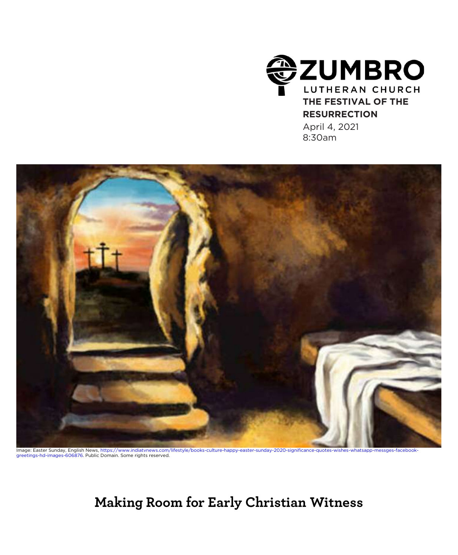



Image: Easter Sunday, English News, https://www.indiatvnews.com/lifestyle/books-culture-happy-easter-sunday-2020-significance-quotes-wishes-whatsapp-messges-fac [greetings-hd-images-606876.](https://www.indiatvnews.com/lifestyle/books-culture-happy-easter-sunday-2020-significance-quotes-wishes-whatsapp-messges-facebook-greetings-hd-images-606876) Public Domain. Some rights reserved.

# **Making Room for Early Christian Witness**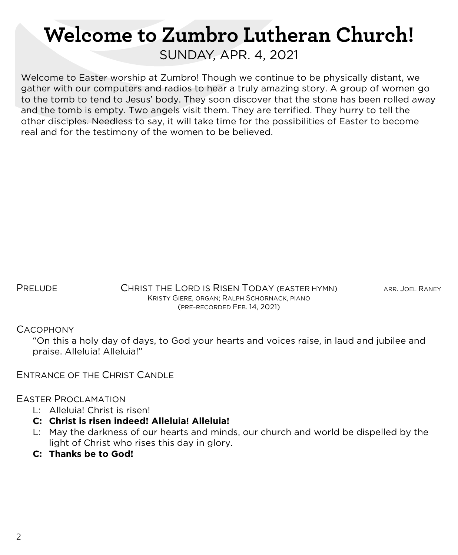# **Welcome to Zumbro Lutheran Church!** SUNDAY, APR. 4, 2021

Welcome to Easter worship at Zumbro! Though we continue to be physically distant, we gather with our computers and radios to hear a truly amazing story. A group of women go to the tomb to tend to Jesus' body. They soon discover that the stone has been rolled away and the tomb is empty. Two angels visit them. They are terrified. They hurry to tell the other disciples. Needless to say, it will take time for the possibilities of Easter to become real and for the testimony of the women to be believed.

PRELUDE CHRIST THE LORD IS RISEN TODAY (EASTER HYMN) ARR. JOEL RANEY KRISTY GIERE, ORGAN; RALPH SCHORNACK, PIANO (PRE-RECORDED FEB. 14, 2021)

#### **CACOPHONY**

"On this a holy day of days, to God your hearts and voices raise, in laud and jubilee and praise. Alleluia! Alleluia!"

ENTRANCE OF THE CHRIST CANDLE

EASTER PROCLAMATION

- L: Alleluia! Christ is risen!
- **C: Christ is risen indeed! Alleluia! Alleluia!**
- L: May the darkness of our hearts and minds, our church and world be dispelled by the light of Christ who rises this day in glory.
- **C: Thanks be to God!**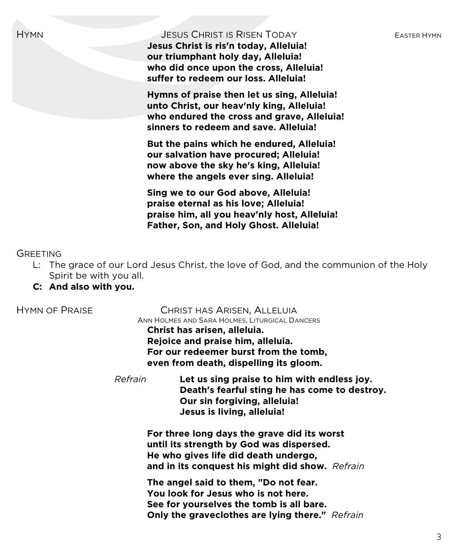#### HYMN JESUS CHRIST IS RISEN TODAY EASTER HYMN

**Jesus Christ is ris'n today, Alleluia! our triumphant holy day, Alleluia! who did once upon the cross, Alleluia! suffer to redeem our loss. Alleluia!**

**Hymns of praise then let us sing, Alleluia! unto Christ, our heav'nly king, Alleluia! who endured the cross and grave, Alleluia! sinners to redeem and save. Alleluia!**

**But the pains which he endured, Alleluia! our salvation have procured; Alleluia! now above the sky he's king, Alleluia! where the angels ever sing. Alleluia!**

**Sing we to our God above, Alleluia! praise eternal as his love; Alleluia! praise him, all you heav'nly host, Alleluia! Father, Son, and Holy Ghost. Alleluia!**

#### GREETING

- L: The grace of our Lord Jesus Christ, the love of God, and the communion of the Holy Spirit be with you all.
- **C: And also with you.**

#### HYMN OF PRAISE CHRIST HAS ARISEN, ALLELUIA

ANN HOLMES AND SARA HOLMES, LITURGICAL DANCERS **Christ has arisen, alleluia. Rejoice and praise him, alleluia. For our redeemer burst from the tomb, even from death, dispelling its gloom.**

*Refrain* **Let us sing praise to him with endless joy. Death's fearful sting he has come to destroy. Our sin forgiving, alleluia! Jesus is living, alleluia!**

> **For three long days the grave did its worst until its strength by God was dispersed. He who gives life did death undergo, and in its conquest his might did show.** *Refrain*

> **The angel said to them, "Do not fear. You look for Jesus who is not here. See for yourselves the tomb is all bare. Only the graveclothes are lying there."** *Refrain*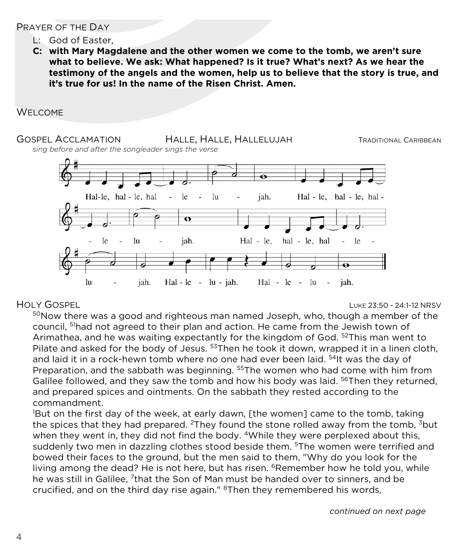#### PRAYER OF THE DAY

- L: God of Easter,
- **C: with Mary Magdalene and the other women we come to the tomb, we aren't sure what to believe. We ask: What happened? Is it true? What's next? As we hear the testimony of the angels and the women, help us to believe that the story is true, and it's true for us! In the name of the Risen Christ. Amen.**

#### WELCOME

#### GOSPEL ACCLAMATION HALLE, HALLE, HALLELUJAH TRADITIONAL CARIBBEAN

*sing before and after the songleader sings the verse*



HOLY GOSPEL LUKE 23:50 - 24:1-12 NRSV

<sup>50</sup>Now there was a good and righteous man named Joseph, who, though a member of the council, <sup>51</sup>had not agreed to their plan and action. He came from the Jewish town of Arimathea, and he was waiting expectantly for the kingdom of God. <sup>52</sup>This man went to Pilate and asked for the body of Jesus. <sup>53</sup>Then he took it down, wrapped it in a linen cloth, and laid it in a rock-hewn tomb where no one had ever been laid. <sup>54</sup>It was the day of Preparation, and the sabbath was beginning. <sup>55</sup>The women who had come with him from Galilee followed, and they saw the tomb and how his body was laid. <sup>56</sup>Then they returned, and prepared spices and ointments. On the sabbath they rested according to the commandment.

1 But on the first day of the week, at early dawn, [the women] came to the tomb, taking the spices that they had prepared. <sup>2</sup>They found the stone rolled away from the tomb, <sup>3</sup>but when they went in, they did not find the body. <sup>4</sup>While they were perplexed about this, suddenly two men in dazzling clothes stood beside them. <sup>5</sup>The women were terrified and bowed their faces to the ground, but the men said to them, "Why do you look for the living among the dead? He is not here, but has risen. <sup>6</sup>Remember how he told you, while he was still in Galilee, 7that the Son of Man must be handed over to sinners, and be crucified, and on the third day rise again." <sup>8</sup>Then they remembered his words,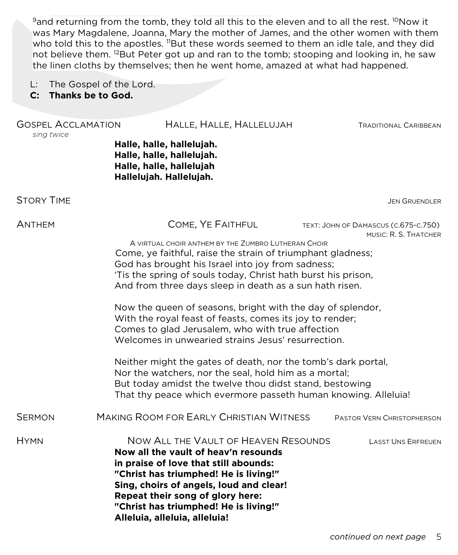$9$ and returning from the tomb, they told all this to the eleven and to all the rest.  $10N$ ow it was Mary Magdalene, Joanna, Mary the mother of James, and the other women with them who told this to the apostles. <sup>11</sup>But these words seemed to them an idle tale, and they did not believe them. <sup>12</sup>But Peter got up and ran to the tomb; stooping and looking in, he saw the linen cloths by themselves; then he went home, amazed at what had happened.

L: The Gospel of the Lord.

 **C: Thanks be to God.**

GOSPEL ACCLAMATION HALLE, HALLE, HALLELUJAH TRADITIONAL CARIBBEAN

*sing twice*

**Halle, halle, hallelujah. Halle, halle, hallelujah. Halle, halle, hallelujah Hallelujah. Hallelujah.**

STORY TIME GRUENDLER STORY TIME STORY TIME STORY TIME STORY TIME

| <b>ANTHEM</b> | COME, YE FAITHFUL                                                                                                                                                                                                                                                                                                                                                                                                                                                                                                                                                                                                                                                                                                                                                                              | TEXT: JOHN OF DAMASCUS (C.675-C.750)<br>MUSIC: R. S. THATCHER |  |
|---------------|------------------------------------------------------------------------------------------------------------------------------------------------------------------------------------------------------------------------------------------------------------------------------------------------------------------------------------------------------------------------------------------------------------------------------------------------------------------------------------------------------------------------------------------------------------------------------------------------------------------------------------------------------------------------------------------------------------------------------------------------------------------------------------------------|---------------------------------------------------------------|--|
|               | A VIRTUAL CHOIR ANTHEM BY THE ZUMBRO LUTHERAN CHOIR<br>Come, ye faithful, raise the strain of triumphant gladness;<br>God has brought his Israel into joy from sadness;<br>'Tis the spring of souls today, Christ hath burst his prison,<br>And from three days sleep in death as a sun hath risen.<br>Now the queen of seasons, bright with the day of splendor,<br>With the royal feast of feasts, comes its joy to render;<br>Comes to glad Jerusalem, who with true affection<br>Welcomes in unwearied strains Jesus' resurrection.<br>Neither might the gates of death, nor the tomb's dark portal,<br>Nor the watchers, nor the seal, hold him as a mortal;<br>But today amidst the twelve thou didst stand, bestowing<br>That thy peace which evermore passeth human knowing. Alleluia! |                                                               |  |
|               |                                                                                                                                                                                                                                                                                                                                                                                                                                                                                                                                                                                                                                                                                                                                                                                                |                                                               |  |
| <b>SERMON</b> | <b>MAKING ROOM FOR EARLY CHRISTIAN WITNESS</b>                                                                                                                                                                                                                                                                                                                                                                                                                                                                                                                                                                                                                                                                                                                                                 | <b>PASTOR VERN CHRISTOPHERSON</b>                             |  |
| <b>HYMN</b>   | NOW ALL THE VAULT OF HEAVEN RESOUNDS<br>Now all the vault of heav'n resounds<br>in praise of love that still abounds:<br>"Christ has triumphed! He is living!"<br>Sing, choirs of angels, loud and clear!<br>Repeat their song of glory here:<br>"Christ has triumphed! He is living!"<br>Alleluia, alleluia, alleluia!                                                                                                                                                                                                                                                                                                                                                                                                                                                                        | <b>LASST UNS ERFREUEN</b>                                     |  |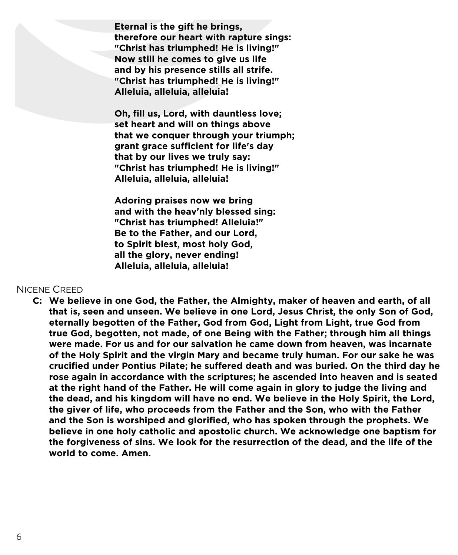**Eternal is the gift he brings, therefore our heart with rapture sings: "Christ has triumphed! He is living!" Now still he comes to give us life and by his presence stills all strife. "Christ has triumphed! He is living!" Alleluia, alleluia, alleluia!**

**Oh, fill us, Lord, with dauntless love; set heart and will on things above that we conquer through your triumph; grant grace sufficient for life's day that by our lives we truly say: "Christ has triumphed! He is living!" Alleluia, alleluia, alleluia!**

**Adoring praises now we bring and with the heav'nly blessed sing: "Christ has triumphed! Alleluia!" Be to the Father, and our Lord, to Spirit blest, most holy God, all the glory, never ending! Alleluia, alleluia, alleluia!**

#### NICENE CREED

**C: We believe in one God, the Father, the Almighty, maker of heaven and earth, of all that is, seen and unseen. We believe in one Lord, Jesus Christ, the only Son of God, eternally begotten of the Father, God from God, Light from Light, true God from true God, begotten, not made, of one Being with the Father; through him all things were made. For us and for our salvation he came down from heaven, was incarnate of the Holy Spirit and the virgin Mary and became truly human. For our sake he was crucified under Pontius Pilate; he suffered death and was buried. On the third day he rose again in accordance with the scriptures; he ascended into heaven and is seated at the right hand of the Father. He will come again in glory to judge the living and the dead, and his kingdom will have no end. We believe in the Holy Spirit, the Lord, the giver of life, who proceeds from the Father and the Son, who with the Father and the Son is worshiped and glorified, who has spoken through the prophets. We believe in one holy catholic and apostolic church. We acknowledge one baptism for the forgiveness of sins. We look for the resurrection of the dead, and the life of the world to come. Amen.**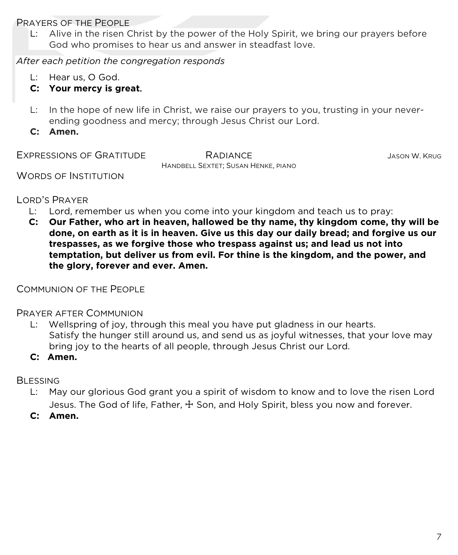PRAYERS OF THE PEOPLE

L: Alive in the risen Christ by the power of the Holy Spirit, we bring our prayers before God who promises to hear us and answer in steadfast love.

*After each petition the congregation responds*

- L: Hear us, O God.
- **C: Your mercy is great**.
- L: In the hope of new life in Christ, we raise our prayers to you, trusting in your neverending goodness and mercy; through Jesus Christ our Lord.
- **C: Amen.**

EXPRESSIONS OF GRATITUDE RADIANCE RADIANCE

HANDBELL SEXTET; SUSAN HENKE, PIANO

WORDS OF INSTITUTION

LORD'S PRAYER

- L: Lord, remember us when you come into your kingdom and teach us to pray:
- **C: Our Father, who art in heaven, hallowed be thy name, thy kingdom come, thy will be done, on earth as it is in heaven. Give us this day our daily bread; and forgive us our trespasses, as we forgive those who trespass against us; and lead us not into temptation, but deliver us from evil. For thine is the kingdom, and the power, and the glory, forever and ever. Amen.**

COMMUNION OF THE PEOPLE

#### PRAYER AFTER COMMUNION

- L: Wellspring of joy, through this meal you have put gladness in our hearts. Satisfy the hunger still around us, and send us as joyful witnesses, that your love may bring joy to the hearts of all people, through Jesus Christ our Lord.
- **C: Amen.**

BLESSING

- L: May our glorious God grant you a spirit of wisdom to know and to love the risen Lord Jesus. The God of life, Father,  $\pm$  Son, and Holy Spirit, bless you now and forever.
- **C: Amen.**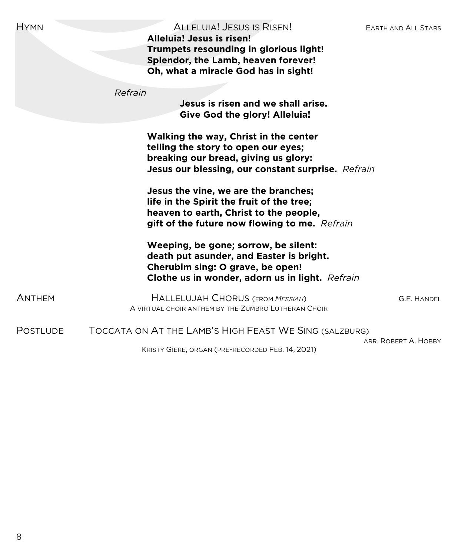| <b>HYMN</b>     | ALLELUIA! JESUS IS RISEN!<br>Alleluia! Jesus is risen!<br>Trumpets resounding in glorious light!<br>Splendor, the Lamb, heaven forever!<br>Oh, what a miracle God has in sight!                                                                                                                                                                                                                                                                                                                                                       | <b>EARTH AND ALL STARS</b> |
|-----------------|---------------------------------------------------------------------------------------------------------------------------------------------------------------------------------------------------------------------------------------------------------------------------------------------------------------------------------------------------------------------------------------------------------------------------------------------------------------------------------------------------------------------------------------|----------------------------|
|                 | Refrain<br>Jesus is risen and we shall arise.<br>Give God the glory! Alleluia!                                                                                                                                                                                                                                                                                                                                                                                                                                                        |                            |
|                 | Walking the way, Christ in the center<br>telling the story to open our eyes;<br>breaking our bread, giving us glory:<br>Jesus our blessing, our constant surprise. Refrain<br>Jesus the vine, we are the branches;<br>life in the Spirit the fruit of the tree;<br>heaven to earth, Christ to the people,<br>gift of the future now flowing to me. Refrain<br>Weeping, be gone; sorrow, be silent:<br>death put asunder, and Easter is bright.<br>Cherubim sing: O grave, be open!<br>Clothe us in wonder, adorn us in light. Refrain |                            |
| <b>ANTHEM</b>   | HALLELUJAH CHORUS (FROM MESSIAH)<br>A VIRTUAL CHOIR ANTHEM BY THE ZUMBRO LUTHERAN CHOIR                                                                                                                                                                                                                                                                                                                                                                                                                                               | <b>G.F. HANDEL</b>         |
| <b>POSTLUDE</b> | TOCCATA ON AT THE LAMB'S HIGH FEAST WE SING (SALZBURG)<br>KRISTY GIERE, ORGAN (PRE-RECORDED FEB. 14, 2021)                                                                                                                                                                                                                                                                                                                                                                                                                            | ARR. ROBERT A. HOBBY       |

8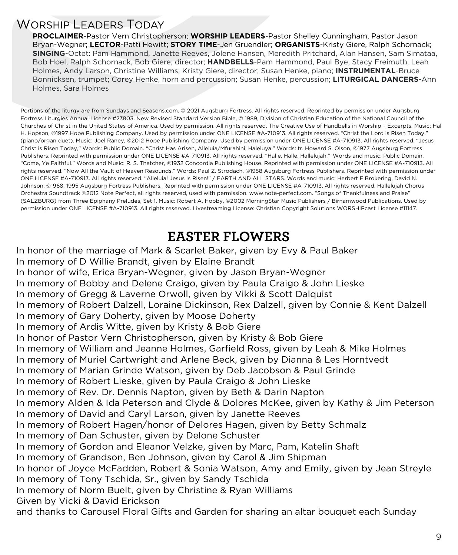## WORSHIP LEADERS TODAY

**PROCLAIMER**-Pastor Vern Christopherson; **WORSHIP LEADERS**-Pastor Shelley Cunningham, Pastor Jason Bryan-Wegner; **LECTOR**-Patti Hewitt; **STORY TIME**-Jen Gruendler; **ORGANISTS**-Kristy Giere, Ralph Schornack; **SINGING**-Octet: Pam Hammond, Janette Reeves, Jolene Hansen, Meredith Pritchard, Alan Hansen, Sam Simataa, Bob Hoel, Ralph Schornack, Bob Giere, director; **HANDBELLS**-Pam Hammond, Paul Bye, Stacy Freimuth, Leah Holmes, Andy Larson, Christine Williams; Kristy Giere, director; Susan Henke, piano; **INSTRUMENTAL**-Bruce Bonnicksen, trumpet; Corey Henke, horn and percussion; Susan Henke, percussion; **LITURGICAL DANCERS**-Ann Holmes, Sara Holmes

Portions of the liturgy are from Sundays and Seasons.com. © 2021 Augsburg Fortress. All rights reserved. Reprinted by permission under Augsburg Fortress Liturgies Annual License #23803. New Revised Standard Version Bible, © 1989, Division of Christian Education of the National Council of the Churches of Christ in the United States of America. Used by permission. All rights reserved. The Creative Use of Handbells in Worship – Excerpts. Music: Hal H. Hopson, ©1997 Hope Publishing Company. Used by permission under ONE LICENSE #A-710913. All rights reserved. "Christ the Lord is Risen Today." (piano/organ duet). Music: Joel Raney, ©2012 Hope Publishing Company. Used by permission under ONE LICENSE #A-710913. All rights reserved. "Jesus Christ is Risen Today," Words: Public Domain. "Christ Has Arisen, Alleluia/Mfurahini, Haleluya." Words: tr. Howard S. Olson, ©1977 Augsburg Fortress Publishers. Reprinted with permission under ONE LICENSE #A-710913. All rights reserved. "Halle, Halle, Hallelujah." Words and music: Public Domain. "Come, Ye Faithful." Words and Music: R. S. Thatcher, ©1932 Concordia Publishing House. Reprinted with permission under ONE LICENSE #A-710913. All rights reserved. "Now All the Vault of Heaven Resounds." Words: Paul Z. Strodach, ©1958 Augsburg Fortress Publishers. Reprinted with permission under ONE LICENSE #A-710913. All rights reserved. "Alleluia! Jesus Is Risen!" / EARTH AND ALL STARS. Words and music: Herbert F Brokering, David N. Johnson, ©1968, 1995 Augsburg Fortress Publishers. Reprinted with permission under ONE LICENSE #A-710913. All rights reserved. Hallelujah Chorus Orchestra Soundtrack ©2012 Note Perfect, all rights reserved, used with permission. www.note-perfect.com. "Songs of Thankfulness and Praise" (SALZBURG) from Three Epiphany Preludes, Set 1. Music: Robert A. Hobby, ©2002 MorningStar Music Publishers / Birnamwood Publications. Used by permission under ONE LICENSE #A-710913. All rights reserved. Livestreaming License: Christian Copyright Solutions WORSHIPcast License #11147.

# **EASTER FLOWERS**

In honor of the marriage of Mark & Scarlet Baker, given by Evy & Paul Baker In memory of D Willie Brandt, given by Elaine Brandt In honor of wife, Erica Bryan-Wegner, given by Jason Bryan-Wegner In memory of Bobby and Delene Craigo, given by Paula Craigo & John Lieske In memory of Gregg & Laverne Orwoll, given by Vikki & Scott Dalquist In memory of Robert Dalzell, Loraine Dickinson, Rex Dalzell, given by Connie & Kent Dalzell In memory of Gary Doherty, given by Moose Doherty In memory of Ardis Witte, given by Kristy & Bob Giere In honor of Pastor Vern Christopherson, given by Kristy & Bob Giere In memory of William and Jeanne Holmes, Garfield Ross, given by Leah & Mike Holmes In memory of Muriel Cartwright and Arlene Beck, given by Dianna & Les Horntvedt In memory of Marian Grinde Watson, given by Deb Jacobson & Paul Grinde In memory of Robert Lieske, given by Paula Craigo & John Lieske In memory of Rev. Dr. Dennis Napton, given by Beth & Darin Napton In memory Alden & Ida Peterson and Clyde & Dolores McKee, given by Kathy & Jim Peterson In memory of David and Caryl Larson, given by Janette Reeves In memory of Robert Hagen/honor of Delores Hagen, given by Betty Schmalz In memory of Dan Schuster, given by Delone Schuster In memory of Gordon and Eleanor Velzke, given by Marc, Pam, Katelin Shaft In memory of Grandson, Ben Johnson, given by Carol & Jim Shipman In honor of Joyce McFadden, Robert & Sonia Watson, Amy and Emily, given by Jean Streyle In memory of Tony Tschida, Sr., given by Sandy Tschida In memory of Norm Buelt, given by Christine & Ryan Williams Given by Vicki & David Erickson and thanks to Carousel Floral Gifts and Garden for sharing an altar bouquet each Sunday